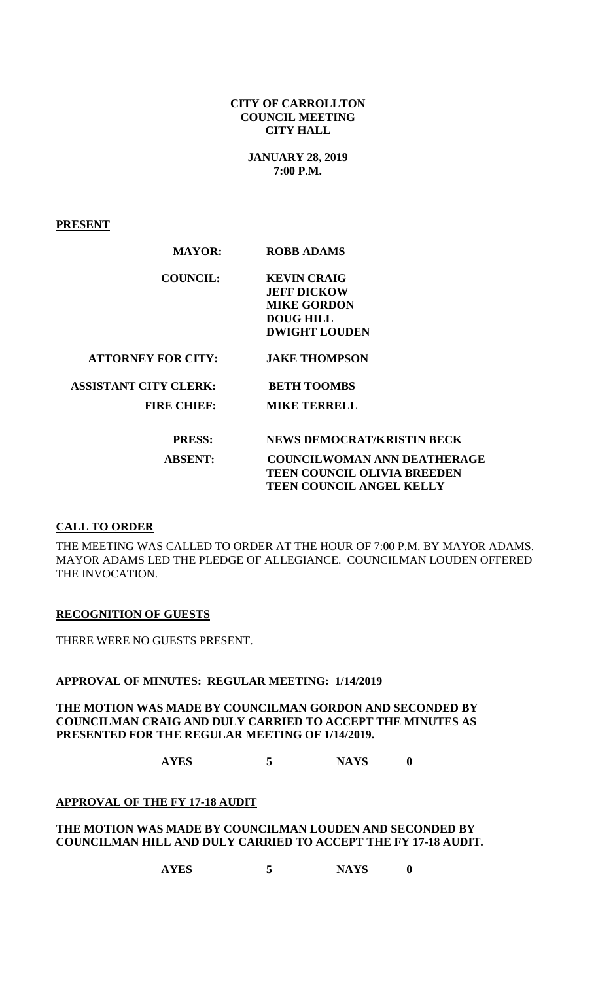#### **CITY OF CARROLLTON COUNCIL MEETING CITY HALL**

**JANUARY 28, 2019 7:00 P.M.**

**PRESENT**

| <b>MAYOR:</b>                | <b>ROBB ADAMS</b>                  |
|------------------------------|------------------------------------|
| <b>COUNCIL:</b>              | <b>KEVIN CRAIG</b>                 |
|                              | <b>JEFF DICKOW</b>                 |
|                              | <b>MIKE GORDON</b>                 |
|                              | <b>DOUG HILL</b>                   |
|                              | <b>DWIGHT LOUDEN</b>               |
| <b>ATTORNEY FOR CITY:</b>    | <b>JAKE THOMPSON</b>               |
| <b>ASSISTANT CITY CLERK:</b> | <b>BETH TOOMBS</b>                 |
| <b>FIRE CHIEF:</b>           | <b>MIKE TERRELL</b>                |
| <b>PRESS:</b>                | <b>NEWS DEMOCRAT/KRISTIN BECK</b>  |
| <b>ABSENT:</b>               | <b>COUNCILWOMAN ANN DEATHERAGE</b> |
|                              | <b>TEEN COUNCIL OLIVIA BREEDEN</b> |
|                              | <b>TEEN COUNCIL ANGEL KELLY</b>    |

## **CALL TO ORDER**

THE MEETING WAS CALLED TO ORDER AT THE HOUR OF 7:00 P.M. BY MAYOR ADAMS. MAYOR ADAMS LED THE PLEDGE OF ALLEGIANCE. COUNCILMAN LOUDEN OFFERED THE INVOCATION.

#### **RECOGNITION OF GUESTS**

THERE WERE NO GUESTS PRESENT.

#### **APPROVAL OF MINUTES: REGULAR MEETING: 1/14/2019**

**THE MOTION WAS MADE BY COUNCILMAN GORDON AND SECONDED BY COUNCILMAN CRAIG AND DULY CARRIED TO ACCEPT THE MINUTES AS PRESENTED FOR THE REGULAR MEETING OF 1/14/2019.**

**AYES 5 NAYS 0**

# **APPROVAL OF THE FY 17-18 AUDIT**

#### **THE MOTION WAS MADE BY COUNCILMAN LOUDEN AND SECONDED BY COUNCILMAN HILL AND DULY CARRIED TO ACCEPT THE FY 17-18 AUDIT.**

**AYES 5 NAYS 0**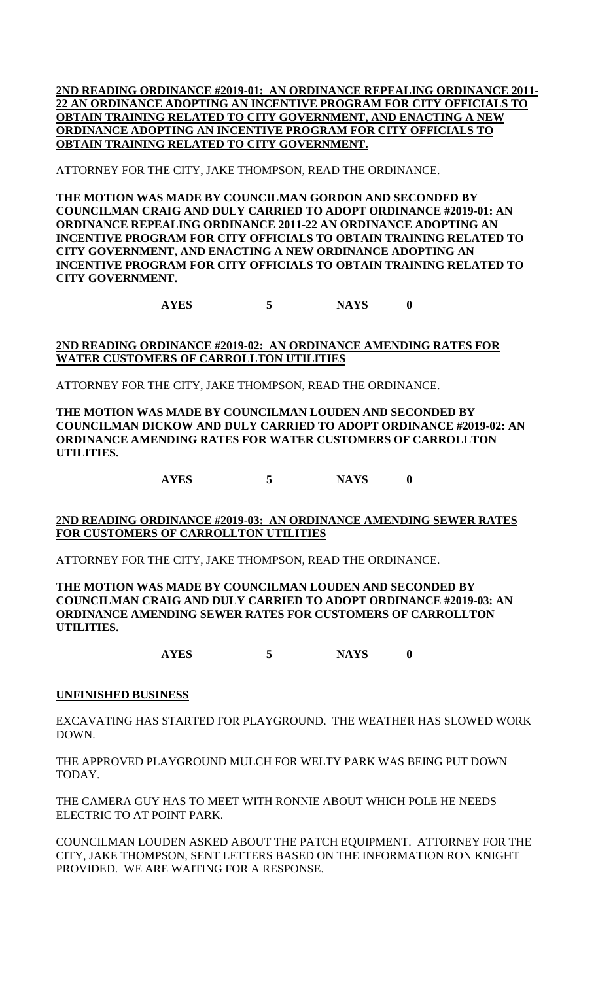**2ND READING ORDINANCE #2019-01: AN ORDINANCE REPEALING ORDINANCE 2011- 22 AN ORDINANCE ADOPTING AN INCENTIVE PROGRAM FOR CITY OFFICIALS TO OBTAIN TRAINING RELATED TO CITY GOVERNMENT, AND ENACTING A NEW ORDINANCE ADOPTING AN INCENTIVE PROGRAM FOR CITY OFFICIALS TO OBTAIN TRAINING RELATED TO CITY GOVERNMENT.**

ATTORNEY FOR THE CITY, JAKE THOMPSON, READ THE ORDINANCE.

**THE MOTION WAS MADE BY COUNCILMAN GORDON AND SECONDED BY COUNCILMAN CRAIG AND DULY CARRIED TO ADOPT ORDINANCE #2019-01: AN ORDINANCE REPEALING ORDINANCE 2011-22 AN ORDINANCE ADOPTING AN INCENTIVE PROGRAM FOR CITY OFFICIALS TO OBTAIN TRAINING RELATED TO CITY GOVERNMENT, AND ENACTING A NEW ORDINANCE ADOPTING AN INCENTIVE PROGRAM FOR CITY OFFICIALS TO OBTAIN TRAINING RELATED TO CITY GOVERNMENT.**

**AYES 5 NAYS 0**

# **2ND READING ORDINANCE #2019-02: AN ORDINANCE AMENDING RATES FOR WATER CUSTOMERS OF CARROLLTON UTILITIES**

ATTORNEY FOR THE CITY, JAKE THOMPSON, READ THE ORDINANCE.

**THE MOTION WAS MADE BY COUNCILMAN LOUDEN AND SECONDED BY COUNCILMAN DICKOW AND DULY CARRIED TO ADOPT ORDINANCE #2019-02: AN ORDINANCE AMENDING RATES FOR WATER CUSTOMERS OF CARROLLTON UTILITIES.**

**AYES 5 NAYS 0**

## **2ND READING ORDINANCE #2019-03: AN ORDINANCE AMENDING SEWER RATES FOR CUSTOMERS OF CARROLLTON UTILITIES**

ATTORNEY FOR THE CITY, JAKE THOMPSON, READ THE ORDINANCE.

**THE MOTION WAS MADE BY COUNCILMAN LOUDEN AND SECONDED BY COUNCILMAN CRAIG AND DULY CARRIED TO ADOPT ORDINANCE #2019-03: AN ORDINANCE AMENDING SEWER RATES FOR CUSTOMERS OF CARROLLTON UTILITIES.**

**AYES 5 NAYS 0**

## **UNFINISHED BUSINESS**

EXCAVATING HAS STARTED FOR PLAYGROUND. THE WEATHER HAS SLOWED WORK DOWN.

THE APPROVED PLAYGROUND MULCH FOR WELTY PARK WAS BEING PUT DOWN TODAY.

THE CAMERA GUY HAS TO MEET WITH RONNIE ABOUT WHICH POLE HE NEEDS ELECTRIC TO AT POINT PARK.

COUNCILMAN LOUDEN ASKED ABOUT THE PATCH EQUIPMENT. ATTORNEY FOR THE CITY, JAKE THOMPSON, SENT LETTERS BASED ON THE INFORMATION RON KNIGHT PROVIDED. WE ARE WAITING FOR A RESPONSE.